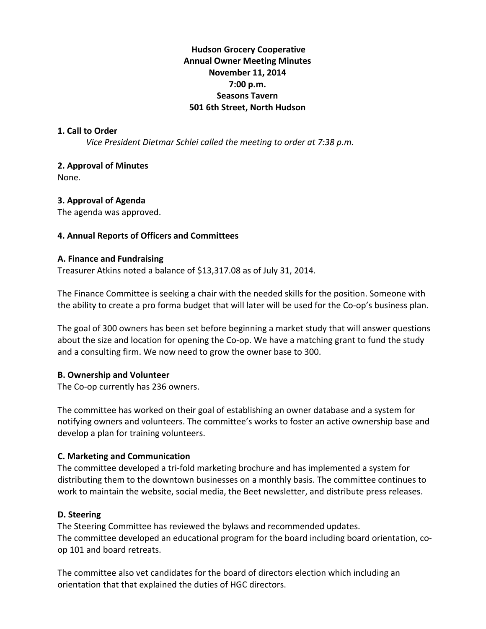# **Hudson!Grocery!Cooperative Annual Owner Meeting Minutes November 11, 2014 7:00!p.m. Seasons!Tavern 501 6th Street, North Hudson**

### **1. Call to Order**

*Vice President Dietmar Schlei called the meeting to order at 7:38 p.m.* 

### **2. Approval of Minutes**

None.

### **3. Approval of Agenda**

The agenda was approved.

#### **4. Annual Reports of Officers and Committees**

#### **A.!Finance!and!Fundraising**

Treasurer Atkins noted a balance of \$13,317.08 as of July 31, 2014.

The Finance Committee is seeking a chair with the needed skills for the position. Someone with the ability to create a pro forma budget that will later will be used for the Co-op's business plan.

The goal of 300 owners has been set before beginning a market study that will answer questions about the size and location for opening the Co-op. We have a matching grant to fund the study and a consulting firm. We now need to grow the owner base to 300.

### **B. Ownership and Volunteer**

The Co-op currently has 236 owners.

The committee has worked on their goal of establishing an owner database and a system for notifying owners and volunteers. The committee's works to foster an active ownership base and develop a plan for training volunteers.

### **C.!Marketing!and!Communication**

The committee developed a tri-fold marketing brochure and has implemented a system for distributing them to the downtown businesses on a monthly basis. The committee continues to work to maintain the website, social media, the Beet newsletter, and distribute press releases.

### D. Steering

The Steering Committee has reviewed the bylaws and recommended updates. The committee developed an educational program for the board including board orientation, coop 101 and board retreats.

The committee also vet candidates for the board of directors election which including an orientation that that explained the duties of HGC directors.